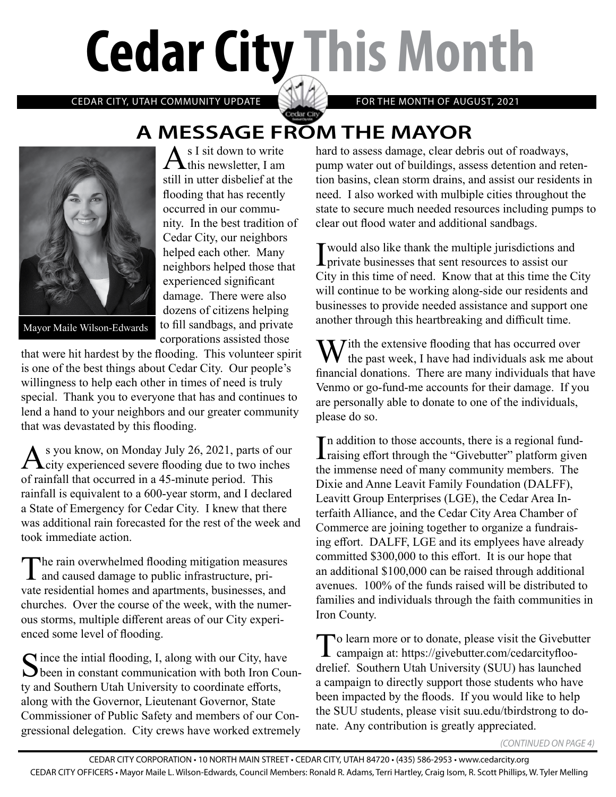# **Cedar City This Month**

CEDAR CITY, UTAH COMMUNITY UPDATE **FOR THE MONTH OF AUGUST, 2021** 

# Cedar City **A MESSAGE FROM THE MAYOR**<br>A s I sit down to write hard to assess damage, clear deb



Mayor Maile Wilson-Edwards

 $A<sub>s I</sub>$  sit down to write still in utter disbelief at the flooding that has recently occurred in our community. In the best tradition of Cedar City, our neighbors helped each other. Many neighbors helped those that experienced significant damage. There were also dozens of citizens helping to fill sandbags, and private corporations assisted those

that were hit hardest by the flooding. This volunteer spirit is one of the best things about Cedar City. Our people's willingness to help each other in times of need is truly special. Thank you to everyone that has and continues to lend a hand to your neighbors and our greater community that was devastated by this flooding.

As you know, on Monday July 26, 2021, parts of our<br>
city experienced severe flooding due to two inches of rainfall that occurred in a 45-minute period. This rainfall is equivalent to a 600-year storm, and I declared a State of Emergency for Cedar City. I knew that there was additional rain forecasted for the rest of the week and took immediate action.

The rain overwhelmed flooding mitigation measures<br>and caused damage to public infrastructure, private residential homes and apartments, businesses, and churches. Over the course of the week, with the numerous storms, multiple different areas of our City experienced some level of flooding.

Since the intial flooding, I, along with our City, have<br>been in constant communication with both Iron County and Southern Utah University to coordinate efforts, along with the Governor, Lieutenant Governor, State Commissioner of Public Safety and members of our Congressional delegation. City crews have worked extremely hard to assess damage, clear debris out of roadways, pump water out of buildings, assess detention and retention basins, clean storm drains, and assist our residents in need. I also worked with mulbiple cities throughout the state to secure much needed resources including pumps to clear out flood water and additional sandbags.

I would also like thank the multiple jurisdictions and private businesses that sent resources to assist our City in this time of need. Know that at this time the City will continue to be working along-side our residents and businesses to provide needed assistance and support one another through this heartbreaking and difficult time.

 $\sum$  ith the extensive flooding that has occurred over the past week, I have had individuals ask me about financial donations. There are many individuals that have Venmo or go-fund-me accounts for their damage. If you are personally able to donate to one of the individuals, please do so.

In addition to those accounts, there is a regional fund-<br>raising effort through the "Givebutter" platform given  $\mathbf{I}$  raising effort through the "Givebutter" platform given the immense need of many community members. The Dixie and Anne Leavit Family Foundation (DALFF), Leavitt Group Enterprises (LGE), the Cedar Area Interfaith Alliance, and the Cedar City Area Chamber of Commerce are joining together to organize a fundraising effort. DALFF, LGE and its emplyees have already committed \$300,000 to this effort. It is our hope that an additional \$100,000 can be raised through additional avenues. 100% of the funds raised will be distributed to families and individuals through the faith communities in Iron County.

To learn more or to donate, please visit the Givebutter campaign at: https://givebutter.com/cedarcityfloodrelief. Southern Utah University (SUU) has launched a campaign to directly support those students who have been impacted by the floods. If you would like to help the SUU students, please visit suu.edu/tbirdstrong to donate. Any contribution is greatly appreciated.

*(CONTINUED ON PAGE 4)*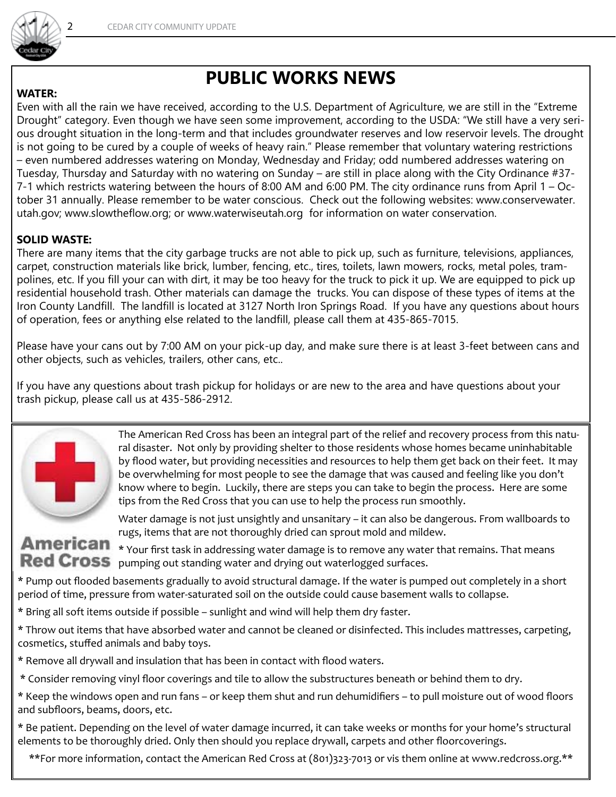

### **PUBLIC WORKS NEWS**

#### **WATER:**

Even with all the rain we have received, according to the U.S. Department of Agriculture, we are still in the "Extreme Drought" category. Even though we have seen some improvement, according to the USDA: "We still have a very serious drought situation in the long-term and that includes groundwater reserves and low reservoir levels. The drought is not going to be cured by a couple of weeks of heavy rain." Please remember that voluntary watering restrictions – even numbered addresses watering on Monday, Wednesday and Friday; odd numbered addresses watering on Tuesday, Thursday and Saturday with no watering on Sunday – are still in place along with the City Ordinance #37- 7-1 which restricts watering between the hours of 8:00 AM and 6:00 PM. The city ordinance runs from April 1 – October 31 annually. Please remember to be water conscious. Check out the following websites: www.conservewater. utah.gov; www.slowtheflow.org; or www.waterwiseutah.org for information on water conservation.

#### **SOLID WASTE:**

There are many items that the city garbage trucks are not able to pick up, such as furniture, televisions, appliances, carpet, construction materials like brick, lumber, fencing, etc., tires, toilets, lawn mowers, rocks, metal poles, trampolines, etc. If you fill your can with dirt, it may be too heavy for the truck to pick it up. We are equipped to pick up residential household trash. Other materials can damage the trucks. You can dispose of these types of items at the Iron County Landfill. The landfill is located at 3127 North Iron Springs Road. If you have any questions about hours of operation, fees or anything else related to the landfill, please call them at 435-865-7015.

Please have your cans out by 7:00 AM on your pick-up day, and make sure there is at least 3-feet between cans and other objects, such as vehicles, trailers, other cans, etc..

If you have any questions about trash pickup for holidays or are new to the area and have questions about your trash pickup, please call us at 435-586-2912.



The American Red Cross has been an integral part of the relief and recovery process from this natural disaster. Not only by providing shelter to those residents whose homes became uninhabitable by flood water, but providing necessities and resources to help them get back on their feet. It may be overwhelming for most people to see the damage that was caused and feeling like you don't know where to begin. Luckily, there are steps you can take to begin the process. Here are some tips from the Red Cross that you can use to help the process run smoothly.

# rugs, items that are not thoroughly dried can sprout mold and mildew.

**American** \* Your first task in addressing water damage is to remove any water that remains. That means Red Cross pumping out standing water and drying out waterlogged surfaces.

Water damage is not just unsightly and unsanitary – it can also be dangerous. From wallboards to

\* Pump out flooded basements gradually to avoid structural damage. If the water is pumped out completely in a short period of time, pressure from water-saturated soil on the outside could cause basement walls to collapse.

\* Bring all soft items outside if possible – sunlight and wind will help them dry faster.

\* Throw out items that have absorbed water and cannot be cleaned or disinfected. This includes mattresses, carpeting, cosmetics, stuffed animals and baby toys.

\* Remove all drywall and insulation that has been in contact with flood waters.

\* Consider removing vinyl floor coverings and tile to allow the substructures beneath or behind them to dry.

\* Keep the windows open and run fans – or keep them shut and run dehumidifiers – to pull moisture out of wood floors and subfloors, beams, doors, etc.

\* Be patient. Depending on the level of water damage incurred, it can take weeks or months for your home's structural elements to be thoroughly dried. Only then should you replace drywall, carpets and other floorcoverings.

\*\*For more information, contact the American Red Cross at (801)323-7013 or vis them online at www.redcross.org.\*\*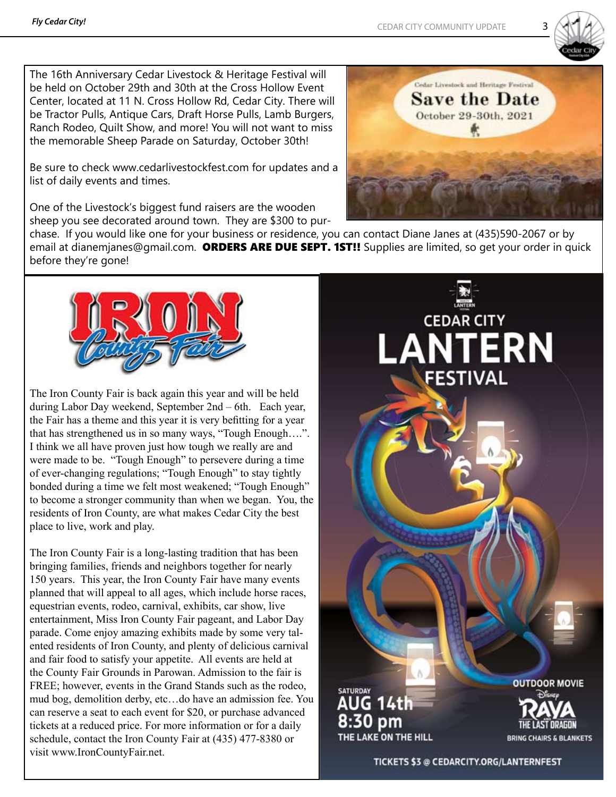

The 16th Anniversary Cedar Livestock & Heritage Festival will be held on October 29th and 30th at the Cross Hollow Event Center, located at 11 N. Cross Hollow Rd, Cedar City. There will be Tractor Pulls, Antique Cars, Draft Horse Pulls, Lamb Burgers, Ranch Rodeo, Quilt Show, and more! You will not want to miss the memorable Sheep Parade on Saturday, October 30th!

Be sure to check www.cedarlivestockfest.com for updates and a list of daily events and times.

One of the Livestock's biggest fund raisers are the wooden sheep you see decorated around town. They are \$300 to pur-

chase. If you would like one for your business or residence, you can contact Diane Janes at (435)590-2067 or by email at dianemjanes@gmail.com. ORDERS ARE DUE SEPT. 1ST!! Supplies are limited, so get your order in quick before they're gone!



The Iron County Fair is back again this year and will be held during Labor Day weekend, September 2nd – 6th. Each year, the Fair has a theme and this year it is very befitting for a year that has strengthened us in so many ways, "Tough Enough….". I think we all have proven just how tough we really are and were made to be. "Tough Enough" to persevere during a time of ever-changing regulations; "Tough Enough" to stay tightly bonded during a time we felt most weakened; "Tough Enough" to become a stronger community than when we began. You, the residents of Iron County, are what makes Cedar City the best place to live, work and play.

The Iron County Fair is a long-lasting tradition that has been bringing families, friends and neighbors together for nearly 150 years. This year, the Iron County Fair have many events planned that will appeal to all ages, which include horse races, equestrian events, rodeo, carnival, exhibits, car show, live entertainment, Miss Iron County Fair pageant, and Labor Day parade. Come enjoy amazing exhibits made by some very talented residents of Iron County, and plenty of delicious carnival and fair food to satisfy your appetite. All events are held at the County Fair Grounds in Parowan. Admission to the fair is FREE; however, events in the Grand Stands such as the rodeo, mud bog, demolition derby, etc…do have an admission fee. You can reserve a seat to each event for \$20, or purchase advanced tickets at a reduced price. For more information or for a daily schedule, contact the Iron County Fair at (435) 477-8380 or visit www.IronCountyFair.net.



**CEDAR CITY** 

**ESTIVAL** 

**NTERN** 



**OUTDOOR MOVIE BRING CHAIRS & BLANKETS** 

TICKETS \$3 @ CEDARCITY.ORG/LANTERNFEST